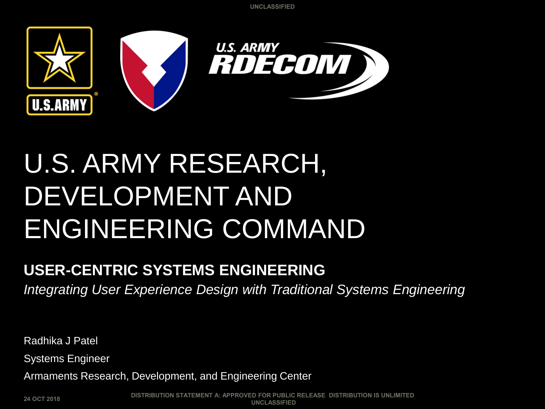

## U.S. ARMY RESEARCH, DEVELOPMENT AND ENGINEERING COMMAND

#### **USER-CENTRIC SYSTEMS ENGINEERING**

*Integrating User Experience Design with Traditional Systems Engineering*

Radhika J Patel

Systems Engineer

Armaments Research, Development, and Engineering Center

**24 OCT 2018**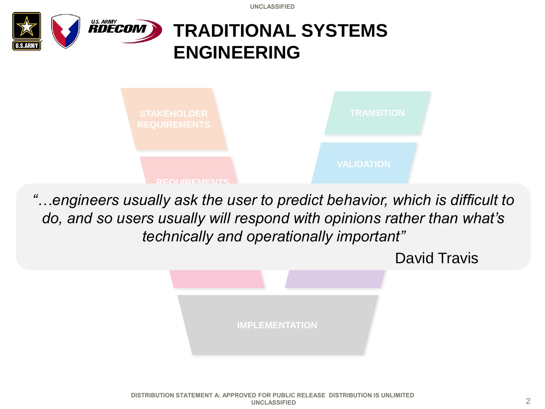

do, and so users usually will respond with opinions rather than what's **ANALYSIS** *"…engineers usually ask the user to predict behavior, which is difficult to technically and operationally important"* 

> **IMPLEMENTATION** David Travis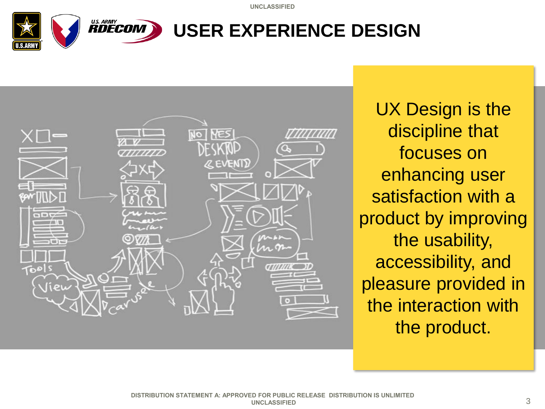



UX Design is the discipline that focuses on enhancing user satisfaction with a product by improving the usability, accessibility, and pleasure provided in the interaction with the product.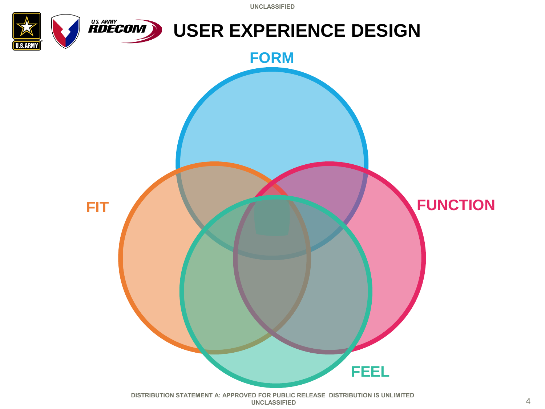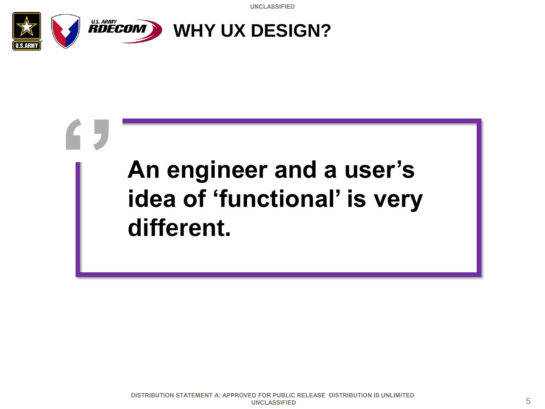

**''**

### **An engineer and a user's idea of 'functional' is very different.**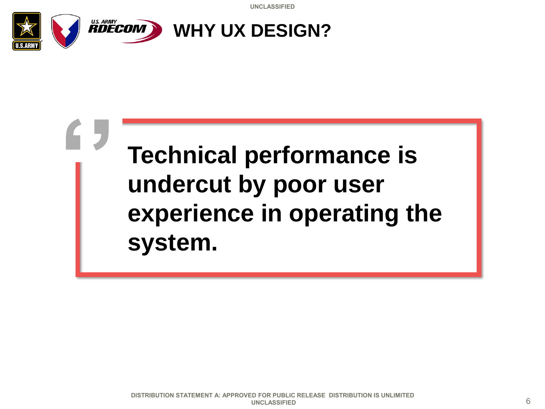

**''**

### **Technical performance is undercut by poor user experience in operating the system.**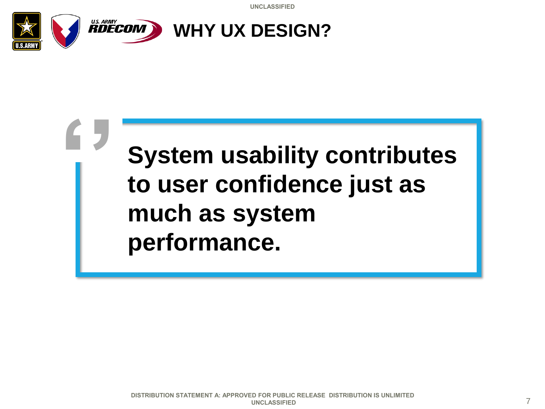

**''**

### **System usability contributes to user confidence just as much as system performance.**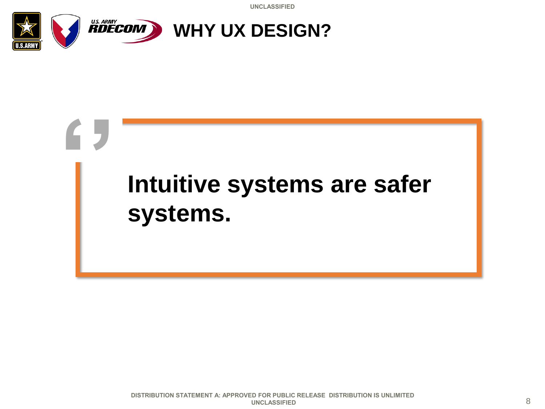

## **Intuitive systems are safer systems. ''**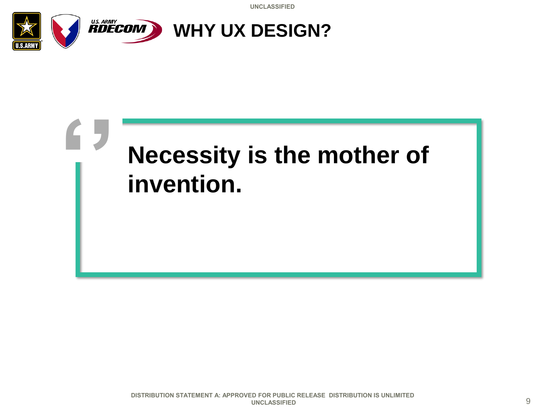

**''**

## **Necessity is the mother of invention.**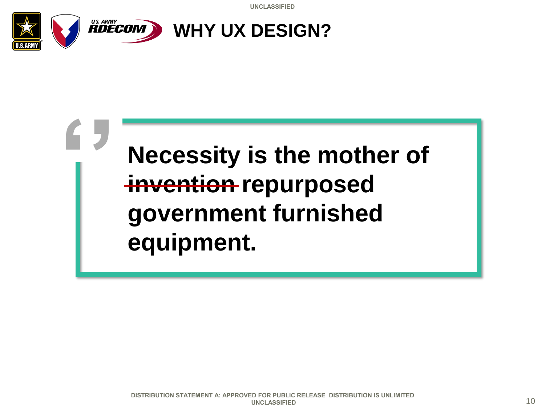

**''**

### **Necessity is the mother of invention repurposed government furnished equipment.**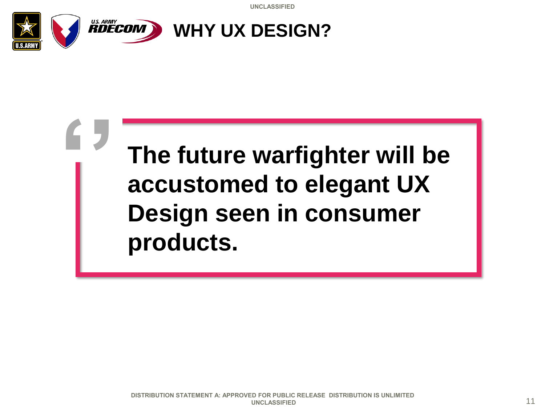

**''**

### **The future warfighter will be accustomed to elegant UX Design seen in consumer products.**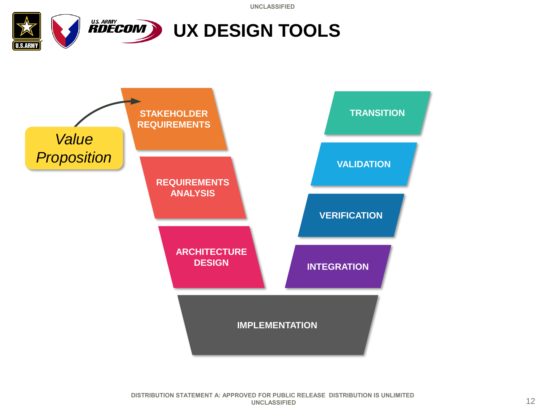

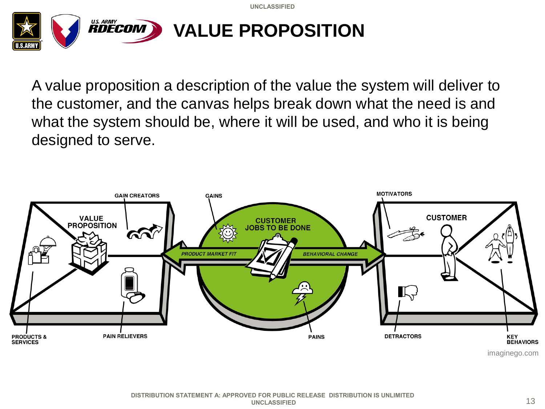

A value proposition a description of the value the system will deliver to the customer, and the canvas helps break down what the need is and what the system should be, where it will be used, and who it is being designed to serve.

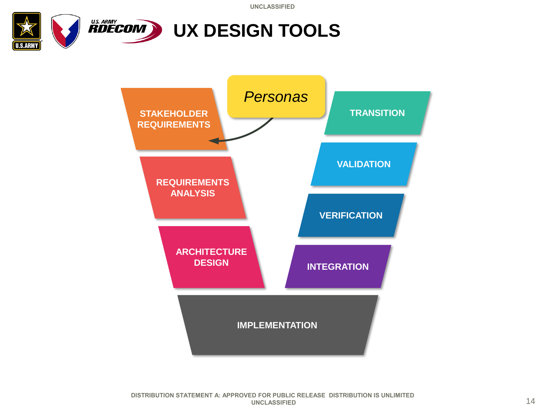

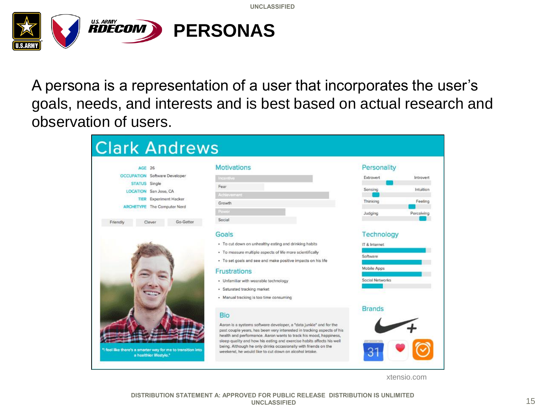

A persona is a representation of a user that incorporates the user's goals, needs, and interests and is best based on actual research and observation of users.

| AGE 26<br><b>OCCUPATION</b> Software Developer<br>STATUS Single<br><b>LOCATION</b> San Jose, CA<br><b>TIER</b> Experiment Hacker<br>ARCHETYPE The Computer Nerd |        |           | <b>Motivations</b>                                                                                                                                                                                                | Personality               |            |
|-----------------------------------------------------------------------------------------------------------------------------------------------------------------|--------|-----------|-------------------------------------------------------------------------------------------------------------------------------------------------------------------------------------------------------------------|---------------------------|------------|
|                                                                                                                                                                 |        |           | incentive                                                                                                                                                                                                         | Extrovert                 | Introvert  |
|                                                                                                                                                                 |        |           | Fear                                                                                                                                                                                                              | Sensing                   | Intuition  |
|                                                                                                                                                                 |        |           | Achievement                                                                                                                                                                                                       |                           |            |
|                                                                                                                                                                 |        |           | Growth                                                                                                                                                                                                            | Thinking                  | Feeling    |
|                                                                                                                                                                 |        |           | Power                                                                                                                                                                                                             | Judging                   | Perceiving |
| Friendly                                                                                                                                                        | Clever | Go-Getter | Social                                                                                                                                                                                                            |                           |            |
|                                                                                                                                                                 |        |           | Goals                                                                                                                                                                                                             | Technology                |            |
|                                                                                                                                                                 |        |           | * To cut down on unhealthy eating and drinking habits                                                                                                                                                             | IT & Internet<br>Software |            |
|                                                                                                                                                                 |        |           | · To measure multiple aspects of life more scientifically                                                                                                                                                         |                           |            |
|                                                                                                                                                                 |        |           | · To set goals and see and make positive impacts on his life                                                                                                                                                      |                           |            |
|                                                                                                                                                                 |        |           | Frustrations                                                                                                                                                                                                      | Mobile Apps               |            |
|                                                                                                                                                                 |        |           | · Unfamiliar with wearable technology                                                                                                                                                                             | Social Networks           |            |
|                                                                                                                                                                 |        |           | · Saturated tracking market                                                                                                                                                                                       |                           |            |
|                                                                                                                                                                 |        |           | · Manual tracking is too time consuming                                                                                                                                                                           |                           |            |
|                                                                                                                                                                 |        |           |                                                                                                                                                                                                                   | <b>Brands</b>             |            |
|                                                                                                                                                                 |        |           | <b>Bio</b>                                                                                                                                                                                                        |                           |            |
|                                                                                                                                                                 |        |           | Aaron is a systems software developer, a "data junkie" and for the<br>past couple years, has been very interested in tracking aspects of his<br>health and performance. Aaron wants to track his mood, happiness, |                           |            |

xtensio.com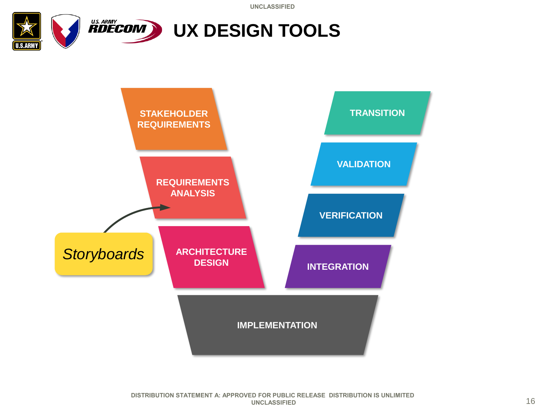

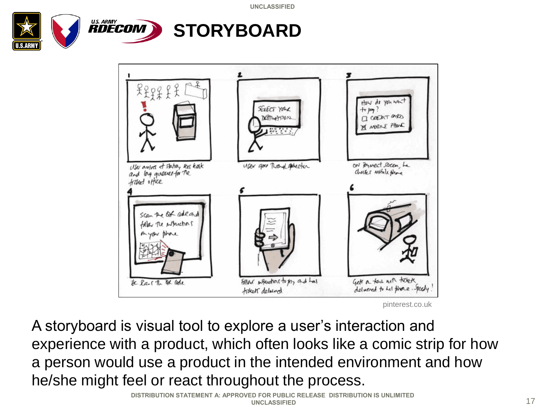



A storyboard is visual tool to explore a user's interaction and experience with a product, which often looks like a comic strip for how a person would use a product in the intended environment and how he/she might feel or react throughout the process.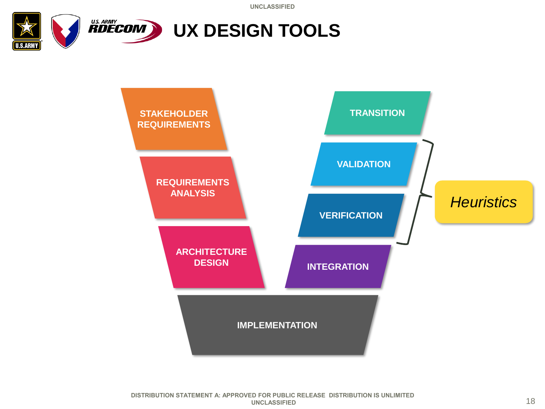

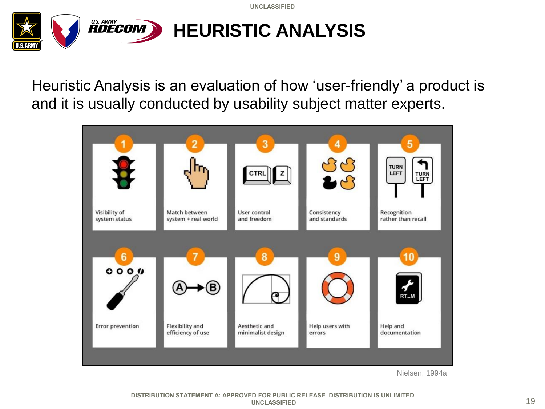

Heuristic Analysis is an evaluation of how 'user-friendly' a product is and it is usually conducted by usability subject matter experts.



Nielsen, 1994a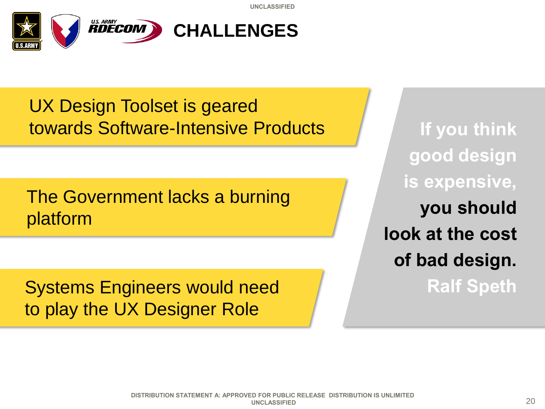

#### UX Design Toolset is geared towards Software-Intensive Products

The Government lacks a burning platform

Systems Engineers would need to play the UX Designer Role

**If you think good design is expensive, you should look at the cost of bad design. Ralf Speth**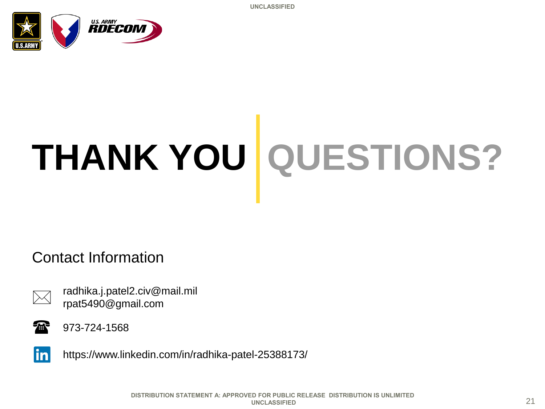

# **THANK YOU QUESTIONS?**

#### Contact Information



radhika.j.patel2.civ@mail.mil rpat5490@gmail.com



973-724-1568



https://www.linkedin.com/in/radhika-patel-25388173/